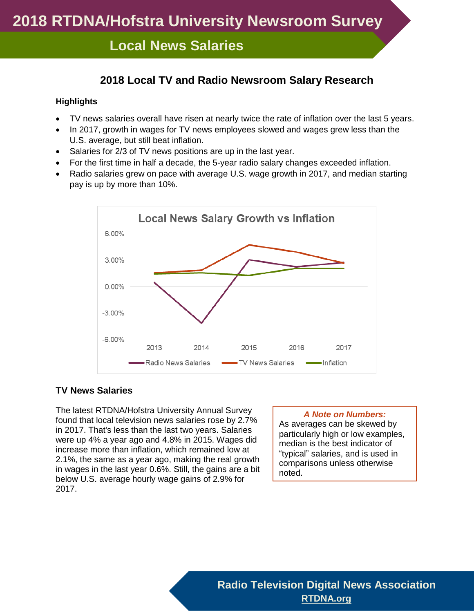## **Local News Salaries**

### **2018 Local TV and Radio Newsroom Salary Research**

#### **Highlights**

- TV news salaries overall have risen at nearly twice the rate of inflation over the last 5 years.
- In 2017, growth in wages for TV news employees slowed and wages grew less than the U.S. average, but still beat inflation.
- Salaries for 2/3 of TV news positions are up in the last year.
- For the first time in half a decade, the 5-year radio salary changes exceeded inflation.
- Radio salaries grew on pace with average U.S. wage growth in 2017, and median starting pay is up by more than 10%.



#### **TV News Salaries**

The latest RTDNA/Hofstra University Annual Survey found that local television news salaries rose by 2.7% in 2017. That's less than the last two years. Salaries were up 4% a year ago and 4.8% in 2015. Wages did increase more than inflation, which remained low at 2.1%, the same as a year ago, making the real growth in wages in the last year 0.6%. Still, the gains are a bit below U.S. average hourly wage gains of 2.9% for 2017.

#### *A Note on Numbers:*

As averages can be skewed by particularly high or low examples, median is the best indicator of "typical" salaries, and is used in comparisons unless otherwise noted.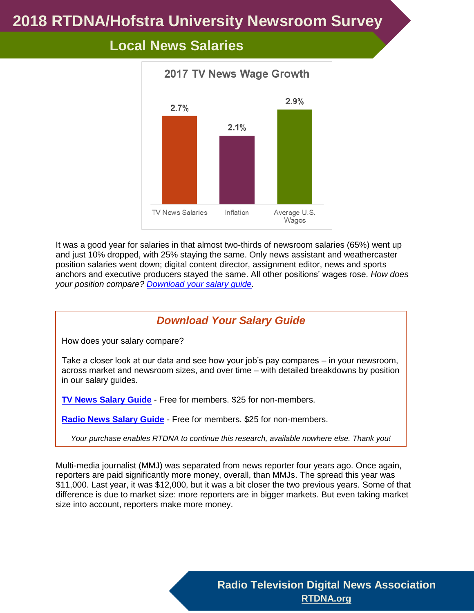

# **Local News Salaries**

It was a good year for salaries in that almost two-thirds of newsroom salaries (65%) went up and just 10% dropped, with 25% staying the same. Only news assistant and weathercaster position salaries went down; digital content director, assignment editor, news and sports anchors and executive producers stayed the same. All other positions' wages rose. *How does your position compare? [Download your salary guide.](https://rtdna.site-ym.com/store/ListProducts.aspx?catid=600201)*

### *Download Your Salary Guide*

How does your salary compare?

Take a closer look at our data and see how your job's pay compares – in your newsroom, across market and newsroom sizes, and over time – with detailed breakdowns by position in our salary guides.

**[TV News Salary Guide](http://rtdna.site-ym.com/store/view_product.asp?id=11324091)** - Free for members. \$25 for non-members.

**[Radio News Salary Guide](http://rtdna.site-ym.com/store/view_product.asp?id=11324112)** - Free for members. \$25 for non-members.

*Your purchase enables RTDNA to continue this research, available nowhere else. Thank you!*

Multi-media journalist (MMJ) was separated from news reporter four years ago. Once again, reporters are paid significantly more money, overall, than MMJs. The spread this year was \$11,000. Last year, it was \$12,000, but it was a bit closer the two previous years. Some of that difference is due to market size: more reporters are in bigger markets. But even taking market size into account, reporters make more money.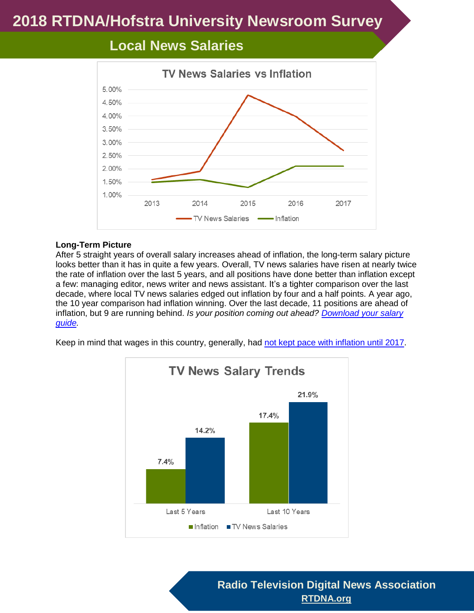

# **Local News Salaries**

#### **Long-Term Picture**

After 5 straight years of overall salary increases ahead of inflation, the long-term salary picture looks better than it has in quite a few years. Overall, TV news salaries have risen at nearly twice the rate of inflation over the last 5 years, and all positions have done better than inflation except a few: managing editor, news writer and news assistant. It's a tighter comparison over the last decade, where local TV news salaries edged out inflation by four and a half points. A year ago, the 10 year comparison had inflation winning. Over the last decade, 11 positions are ahead of inflation, but 9 are running behind. *Is your position coming out ahead? [Download your salary](https://rtdna.site-ym.com/store/ListProducts.aspx?catid=600201)  [guide.](https://rtdna.site-ym.com/store/ListProducts.aspx?catid=600201)*





**Radio Television Digital News Association [RTDNA.org](http://rtdna.org/)**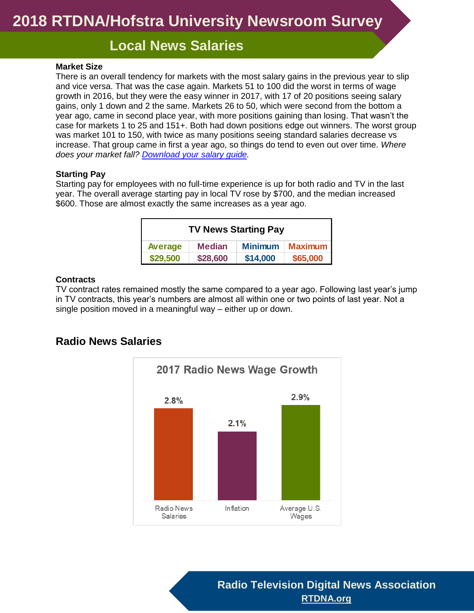# **Local News Salaries**

#### **Market Size**

There is an overall tendency for markets with the most salary gains in the previous year to slip and vice versa. That was the case again. Markets 51 to 100 did the worst in terms of wage growth in 2016, but they were the easy winner in 2017, with 17 of 20 positions seeing salary gains, only 1 down and 2 the same. Markets 26 to 50, which were second from the bottom a year ago, came in second place year, with more positions gaining than losing. That wasn't the case for markets 1 to 25 and 151+. Both had down positions edge out winners. The worst group was market 101 to 150, with twice as many positions seeing standard salaries decrease vs increase. That group came in first a year ago, so things do tend to even out over time. *Where does your market fall? [Download your salary guide.](https://rtdna.site-ym.com/store/ListProducts.aspx?catid=600201)*

#### **Starting Pay**

Starting pay for employees with no full-time experience is up for both radio and TV in the last year. The overall average starting pay in local TV rose by \$700, and the median increased \$600. Those are almost exactly the same increases as a year ago.

| <b>TV News Starting Pay</b> |               |                |                |  |
|-----------------------------|---------------|----------------|----------------|--|
| Average                     | <b>Median</b> | <b>Minimum</b> | <b>Maximum</b> |  |
| \$29,500                    | \$28,600      | \$14,000       | \$65,000       |  |

#### **Contracts**

TV contract rates remained mostly the same compared to a year ago. Following last year's jump in TV contracts, this year's numbers are almost all within one or two points of last year. Not a single position moved in a meaningful way – either up or down.

### **Radio News Salaries**



**Radio Television Digital News Association [RTDNA.org](http://rtdna.org/)**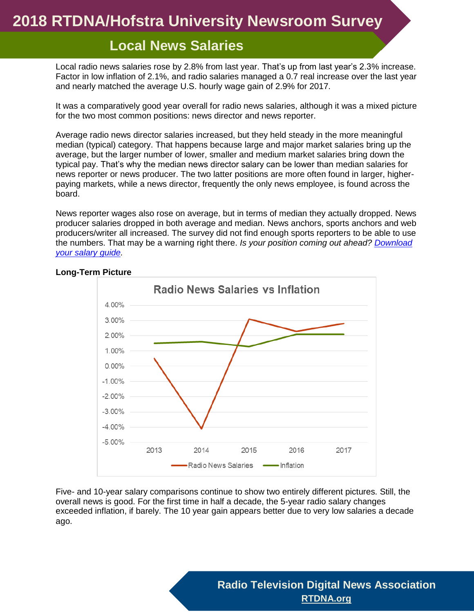## **Local News Salaries**

Local radio news salaries rose by 2.8% from last year. That's up from last year's 2.3% increase. Factor in low inflation of 2.1%, and radio salaries managed a 0.7 real increase over the last year and nearly matched the average U.S. hourly wage gain of 2.9% for 2017.

It was a comparatively good year overall for radio news salaries, although it was a mixed picture for the two most common positions: news director and news reporter.

Average radio news director salaries increased, but they held steady in the more meaningful median (typical) category. That happens because large and major market salaries bring up the average, but the larger number of lower, smaller and medium market salaries bring down the typical pay. That's why the median news director salary can be lower than median salaries for news reporter or news producer. The two latter positions are more often found in larger, higherpaying markets, while a news director, frequently the only news employee, is found across the board.

News reporter wages also rose on average, but in terms of median they actually dropped. News producer salaries dropped in both average and median. News anchors, sports anchors and web producers/writer all increased. The survey did not find enough sports reporters to be able to use the numbers. That may be a warning right there. *Is your position coming out ahead? [Download](https://rtdna.site-ym.com/store/ListProducts.aspx?catid=600201)  [your salary guide.](https://rtdna.site-ym.com/store/ListProducts.aspx?catid=600201)*



#### **Long-Term Picture**

Five- and 10-year salary comparisons continue to show two entirely different pictures. Still, the overall news is good. For the first time in half a decade, the 5-year radio salary changes exceeded inflation, if barely. The 10 year gain appears better due to very low salaries a decade ago.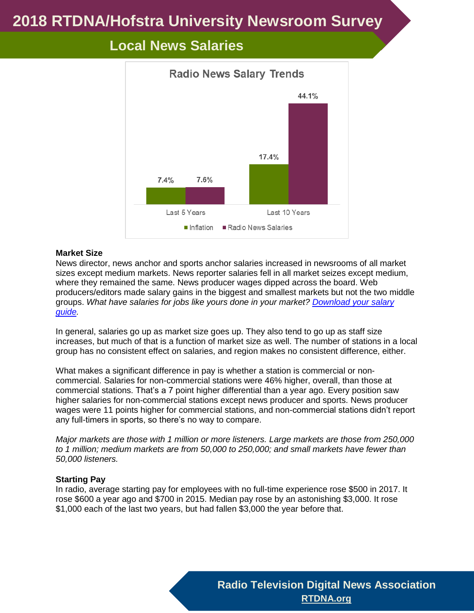

# **Local News Salaries**

#### **Market Size**

News director, news anchor and sports anchor salaries increased in newsrooms of all market sizes except medium markets. News reporter salaries fell in all market seizes except medium, where they remained the same. News producer wages dipped across the board. Web producers/editors made salary gains in the biggest and smallest markets but not the two middle groups. *What have salaries for jobs like yours done in your market? [Download your salary](https://rtdna.site-ym.com/store/ListProducts.aspx?catid=600201)  [guide.](https://rtdna.site-ym.com/store/ListProducts.aspx?catid=600201)*

In general, salaries go up as market size goes up. They also tend to go up as staff size increases, but much of that is a function of market size as well. The number of stations in a local group has no consistent effect on salaries, and region makes no consistent difference, either.

What makes a significant difference in pay is whether a station is commercial or noncommercial. Salaries for non-commercial stations were 46% higher, overall, than those at commercial stations. That's a 7 point higher differential than a year ago. Every position saw higher salaries for non-commercial stations except news producer and sports. News producer wages were 11 points higher for commercial stations, and non-commercial stations didn't report any full-timers in sports, so there's no way to compare.

*Major markets are those with 1 million or more listeners. Large markets are those from 250,000 to 1 million; medium markets are from 50,000 to 250,000; and small markets have fewer than 50,000 listeners.* 

#### **Starting Pay**

In radio, average starting pay for employees with no full-time experience rose \$500 in 2017. It rose \$600 a year ago and \$700 in 2015. Median pay rose by an astonishing \$3,000. It rose \$1,000 each of the last two years, but had fallen \$3,000 the year before that.